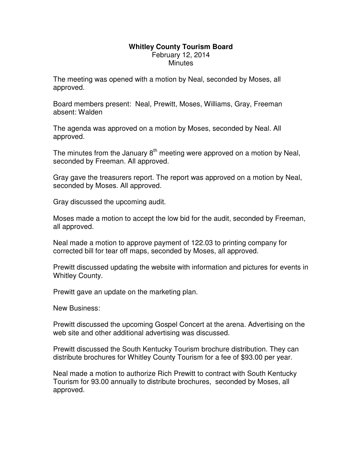## **Whitley County Tourism Board**  February 12, 2014 **Minutes**

The meeting was opened with a motion by Neal, seconded by Moses, all approved.

Board members present: Neal, Prewitt, Moses, Williams, Gray, Freeman absent: Walden

The agenda was approved on a motion by Moses, seconded by Neal. All approved.

The minutes from the January  $8<sup>th</sup>$  meeting were approved on a motion by Neal, seconded by Freeman. All approved.

Gray gave the treasurers report. The report was approved on a motion by Neal, seconded by Moses. All approved.

Gray discussed the upcoming audit.

Moses made a motion to accept the low bid for the audit, seconded by Freeman, all approved.

Neal made a motion to approve payment of 122.03 to printing company for corrected bill for tear off maps, seconded by Moses, all approved.

Prewitt discussed updating the website with information and pictures for events in Whitley County.

Prewitt gave an update on the marketing plan.

New Business:

Prewitt discussed the upcoming Gospel Concert at the arena. Advertising on the web site and other additional advertising was discussed.

Prewitt discussed the South Kentucky Tourism brochure distribution. They can distribute brochures for Whitley County Tourism for a fee of \$93.00 per year.

Neal made a motion to authorize Rich Prewitt to contract with South Kentucky Tourism for 93.00 annually to distribute brochures, seconded by Moses, all approved.